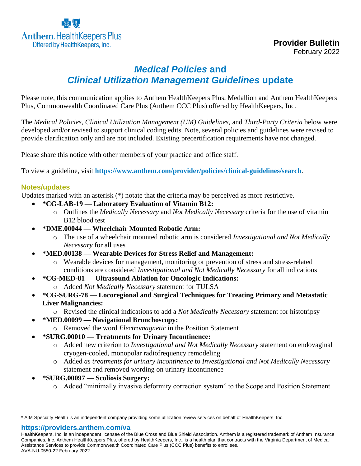

# *Medical Policies* **and**  *Clinical Utilization Management Guidelines* **update**

Please note, this communication applies to Anthem HealthKeepers Plus, Medallion and Anthem HealthKeepers Plus, Commonwealth Coordinated Care Plus (Anthem CCC Plus) offered by HealthKeepers, Inc.

The *Medical Policies*, *Clinical Utilization Management (UM) Guidelines*, and *Third-Party Criteria* below were developed and/or revised to support clinical coding edits. Note, several policies and guidelines were revised to provide clarification only and are not included. Existing precertification requirements have not changed.

Please share this notice with other members of your practice and office staff.

To view a guideline, visit **<https://www.anthem.com/provider/policies/clinical-guidelines/search>**.

### **Notes/updates**

Updates marked with an asterisk (\*) notate that the criteria may be perceived as more restrictive.

- **\*CG-LAB-19 — Laboratory Evaluation of Vitamin B12:**
	- o Outlines the *Medically Necessary* and *Not Medically Necessary* criteria for the use of vitamin B12 blood test
- **\*DME.00044 — Wheelchair Mounted Robotic Arm:**
	- o The use of a wheelchair mounted robotic arm is considered *Investigational and Not Medically Necessary* for all uses
- **\*MED.00138 — Wearable Devices for Stress Relief and Management:**
	- o Wearable devices for management, monitoring or prevention of stress and stress-related conditions are considered *Investigational and Not Medically Necessary* for all indications
- **\*CG-MED-81 — Ultrasound Ablation for Oncologic Indications:**
	- o Added *Not Medically Necessary* statement for TULSA
- **\*CG-SURG-78 — Locoregional and Surgical Techniques for Treating Primary and Metastatic Liver Malignancies:**
	- o Revised the clinical indications to add a *Not Medically Necessary* statement for histotripsy
- **\*MED.00099 — Navigational Bronchoscopy:**
	- o Removed the word *Electromagnetic* in the Position Statement
- **\*SURG.00010 — Treatments for Urinary Incontinence:**
	- o Added new criterion to *Investigational and Not Medically Necessary* statement on endovaginal cryogen-cooled, monopolar radiofrequency remodeling
	- o Added *as treatments for urinary incontinence* to *Investigational and Not Medically Necessary* statement and removed wording on urinary incontinence
- **\*SURG.00097 — Scoliosis Surgery:**
	- o Added "minimally invasive deformity correction system" to the Scope and Position Statement

#### **https://providers.anthem.com/va**

HealthKeepers, Inc. is an independent licensee of the Blue Cross and Blue Shield Association. Anthem is a registered trademark of Anthem Insurance Companies, Inc. Anthem HealthKeepers Plus, offered by HealthKeepers, Inc., is a health plan that contracts with the Virginia Department of Medical Assistance Services to provide Commonwealth Coordinated Care Plus (CCC Plus) benefits to enrollees. AVA-NU-0550-22 February 2022

<sup>\*</sup> AIM Specialty Health is an independent company providing some utilization review services on behalf of HealthKeepers, Inc.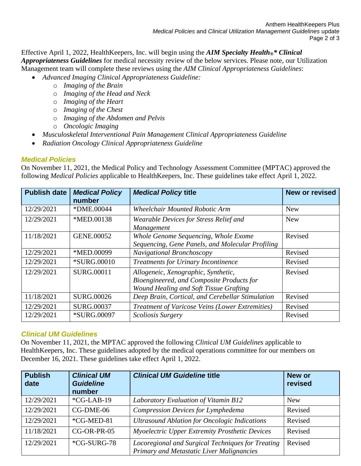Effective April 1, 2022, HealthKeepers, Inc. will begin using the *AIM Specialty Health®\* Clinical Appropriateness Guidelines* for medical necessity review of the below services. Please note, our Utilization Management team will complete these reviews using the *AIM Clinical Appropriateness Guidelines*:

- *Advanced Imaging Clinical Appropriateness Guideline:*
	- o *Imaging of the Brain*
	- o *Imaging of the Head and Neck*
	- o *Imaging of the Heart*
	- o *Imaging of the Chest*
	- o *Imaging of the Abdomen and Pelvis*
	- o *Oncologic Imaging*
- *Musculoskeletal Interventional Pain Management Clinical Appropriateness Guideline*
- *Radiation Oncology Clinical Appropriateness Guideline*

## *Medical Policies*

On November 11, 2021, the Medical Policy and Technology Assessment Committee (MPTAC) approved the following *Medical Policies* applicable to HealthKeepers, Inc. These guidelines take effect April 1, 2022.

| <b>Publish date</b> | <b>Medical Policy</b><br>number | <b>Medical Policy title</b>                                                                                                | <b>New or revised</b> |
|---------------------|---------------------------------|----------------------------------------------------------------------------------------------------------------------------|-----------------------|
| 12/29/2021          | *DME.00044                      | <b>Wheelchair Mounted Robotic Arm</b>                                                                                      | <b>New</b>            |
| 12/29/2021          | *MED.00138                      | Wearable Devices for Stress Relief and<br>Management                                                                       | <b>New</b>            |
| 11/18/2021          | GENE.00052                      | Whole Genome Sequencing, Whole Exome<br>Sequencing, Gene Panels, and Molecular Profiling                                   | Revised               |
| 12/29/2021          | *MED.00099                      | Navigational Bronchoscopy                                                                                                  | Revised               |
| 12/29/2021          | <i>*SURG.00010</i>              | <b>Treatments for Urinary Incontinence</b>                                                                                 | Revised               |
| 12/29/2021          | <b>SURG.00011</b>               | Allogeneic, Xenographic, Synthetic,<br>Bioengineered, and Composite Products for<br>Wound Healing and Soft Tissue Grafting | Revised               |
| 11/18/2021          | SURG.00026                      | Deep Brain, Cortical, and Cerebellar Stimulation                                                                           | Revised               |
| 12/29/2021          | <b>SURG.00037</b>               | Treatment of Varicose Veins (Lower Extremities)                                                                            | Revised               |
| 12/29/2021          | *SURG.00097                     | Scoliosis Surgery                                                                                                          | Revised               |

## *Clinical UM Guidelines*

On November 11, 2021, the MPTAC approved the following *Clinical UM Guidelines* applicable to HealthKeepers, Inc. These guidelines adopted by the medical operations committee for our members on December 16, 2021. These guidelines take effect April 1, 2022.

| <b>Publish</b><br>date | <b>Clinical UM</b><br><b>Guideline</b><br>number | <b>Clinical UM Guideline title</b>                                                                    | <b>New or</b><br>revised |
|------------------------|--------------------------------------------------|-------------------------------------------------------------------------------------------------------|--------------------------|
| 12/29/2021             | $*CG-LAB-19$                                     | Laboratory Evaluation of Vitamin B12                                                                  | <b>New</b>               |
| 12/29/2021             | CG-DME-06                                        | Compression Devices for Lymphedema                                                                    | Revised                  |
| 12/29/2021             | *CG-MED-81                                       | <b>Ultrasound Ablation for Oncologic Indications</b>                                                  | Revised                  |
| 11/18/2021             | $CG-OR-PR-05$                                    | Myoelectric Upper Extremity Prosthetic Devices                                                        | Revised                  |
| 12/29/2021             | *CG-SURG-78                                      | Locoregional and Surgical Techniques for Treating<br><b>Primary and Metastatic Liver Malignancies</b> | Revised                  |